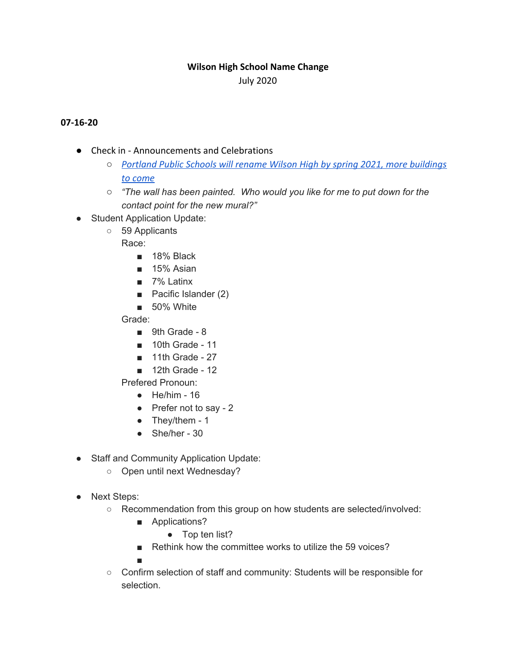## **Wilson High School Name Change**

July 2020

## **07-16-20**

- Check in Announcements and Celebrations
	- *○ [Portland Public Schools will rename Wilson High by spring 2021, more buildings](https://www.oregonlive.com/education/2020/07/portland-public-schools-will-rename-wilson-high-by-spring-2021-more-buildings-to-come.html) [to come](https://www.oregonlive.com/education/2020/07/portland-public-schools-will-rename-wilson-high-by-spring-2021-more-buildings-to-come.html)*
	- *○ "The wall has been painted. Who would you like for me to put down for the contact point for the new mural?"*
- Student Application Update:
	- 59 Applicants
		- Race:
			- 18% Black
			- 15% Asian
			- 7% Latinx
			- Pacific Islander (2)
			- 50% White
		- Grade:
			- 9th Grade 8
			- 10th Grade 11
			- 11th Grade 27
			- 12th Grade 12

Prefered Pronoun:

- $\bullet$  He/him 16
- Prefer not to say 2
- $\bullet$  They/them 1
- $\bullet$  She/her 30
- Staff and Community Application Update:
	- Open until next Wednesday?
- Next Steps:
	- Recommendation from this group on how students are selected/involved:
		- Applications?
			- Top ten list?
		- Rethink how the committee works to utilize the 59 voices?

■

○ Confirm selection of staff and community: Students will be responsible for selection.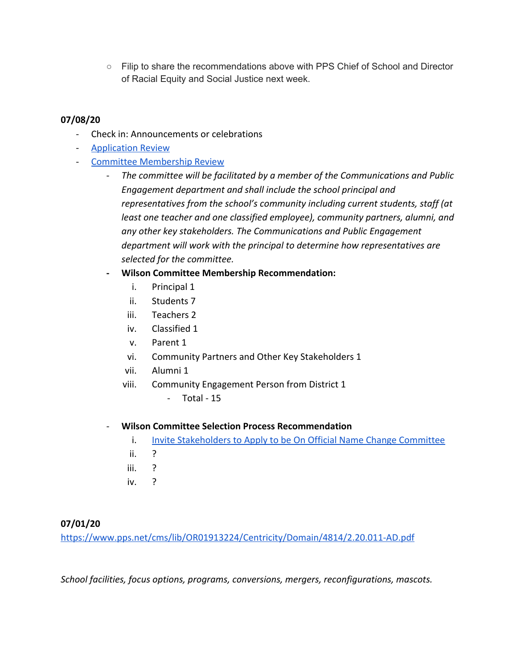○ Filip to share the recommendations above with PPS Chief of School and Director of Racial Equity and Social Justice next week.

## **07/08/20**

- Check in: Announcements or celebrations
- [Application Review](https://docs.google.com/document/d/1RVhGjWtTl-HRf4z589TxJJk48KGGuO9hgIz45e4IayA/edit)
- [Committee Membership Review](https://www.pps.net/cms/lib/OR01913224/Centricity/Domain/4814/2.20.011-AD.pdf)
	- *The committee will be facilitated by a member of the Communications and Public Engagement department and shall include the school principal and representatives from the school's community including current students, staff (at least one teacher and one classified employee), community partners, alumni, and any other key stakeholders. The Communications and Public Engagement department will work with the principal to determine how representatives are selected for the committee.*
	- **- Wilson Committee Membership Recommendation:**
		- i. Principal 1
		- ii. Students 7
		- iii. Teachers 2
		- iv. Classified 1
		- v. Parent 1
		- vi. Community Partners and Other Key Stakeholders 1
		- vii. Alumni 1
		- viii. Community Engagement Person from District 1
			- Total 15
	- **Wilson Committee Selection Process Recommendation**
		- i. [Invite Stakeholders to Apply to be On Official Name Change Committee](https://docs.google.com/document/d/1RVhGjWtTl-HRf4z589TxJJk48KGGuO9hgIz45e4IayA/edit)
		- ii. ?
		- iii. ?
		- iv. ?

## **07/01/20**

<https://www.pps.net/cms/lib/OR01913224/Centricity/Domain/4814/2.20.011-AD.pdf>

*School facilities, focus options, programs, conversions, mergers, reconfigurations, mascots.*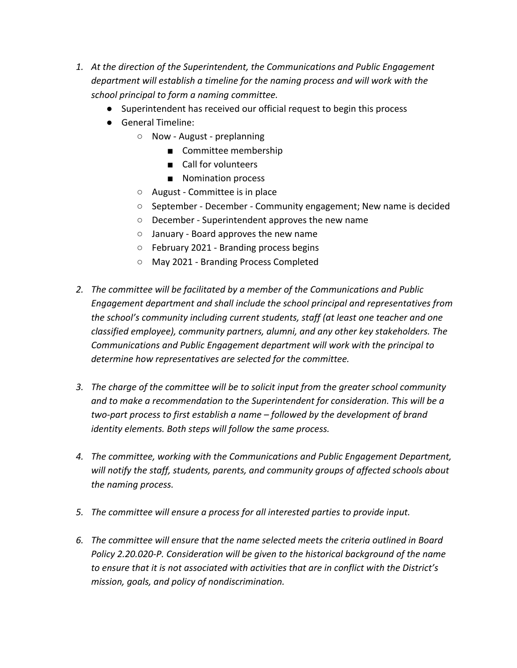- *1. At the direction of the Superintendent, the Communications and Public Engagement department will establish a timeline for the naming process and will work with the school principal to form a naming committee.*
	- Superintendent has received our official request to begin this process
	- General Timeline:
		- Now August preplanning
			- Committee membership
			- Call for volunteers
			- Nomination process
		- August Committee is in place
		- September December Community engagement; New name is decided
		- December Superintendent approves the new name
		- January Board approves the new name
		- February 2021 Branding process begins
		- May 2021 Branding Process Completed
- *2. The committee will be facilitated by a member of the Communications and Public Engagement department and shall include the school principal and representatives from the school's community including current students, staff (at least one teacher and one classified employee), community partners, alumni, and any other key stakeholders. The Communications and Public Engagement department will work with the principal to determine how representatives are selected for the committee.*
- *3. The charge of the committee will be to solicit input from the greater school community and to make a recommendation to the Superintendent for consideration. This will be a two-part process to first establish a name – followed by the development of brand identity elements. Both steps will follow the same process.*
- *4. The committee, working with the Communications and Public Engagement Department, will notify the staff, students, parents, and community groups of affected schools about the naming process.*
- *5. The committee will ensure a process for all interested parties to provide input.*
- *6. The committee will ensure that the name selected meets the criteria outlined in Board Policy 2.20.020-P. Consideration will be given to the historical background of the name to ensure that it is not associated with activities that are in conflict with the District's mission, goals, and policy of nondiscrimination.*